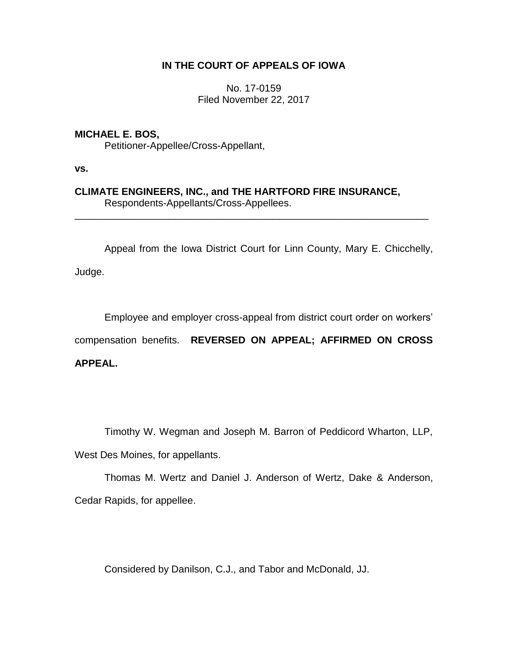# **IN THE COURT OF APPEALS OF IOWA**

No. 17-0159 Filed November 22, 2017

## **MICHAEL E. BOS,**

Petitioner-Appellee/Cross-Appellant,

**vs.**

### **CLIMATE ENGINEERS, INC., and THE HARTFORD FIRE INSURANCE,** Respondents-Appellants/Cross-Appellees.

\_\_\_\_\_\_\_\_\_\_\_\_\_\_\_\_\_\_\_\_\_\_\_\_\_\_\_\_\_\_\_\_\_\_\_\_\_\_\_\_\_\_\_\_\_\_\_\_\_\_\_\_\_\_\_\_\_\_\_\_\_\_\_\_

Appeal from the Iowa District Court for Linn County, Mary E. Chicchelly,

Judge.

Employee and employer cross-appeal from district court order on workers' compensation benefits. **REVERSED ON APPEAL; AFFIRMED ON CROSS** 

**APPEAL.** 

Timothy W. Wegman and Joseph M. Barron of Peddicord Wharton, LLP,

West Des Moines, for appellants.

Thomas M. Wertz and Daniel J. Anderson of Wertz, Dake & Anderson, Cedar Rapids, for appellee.

Considered by Danilson, C.J., and Tabor and McDonald, JJ.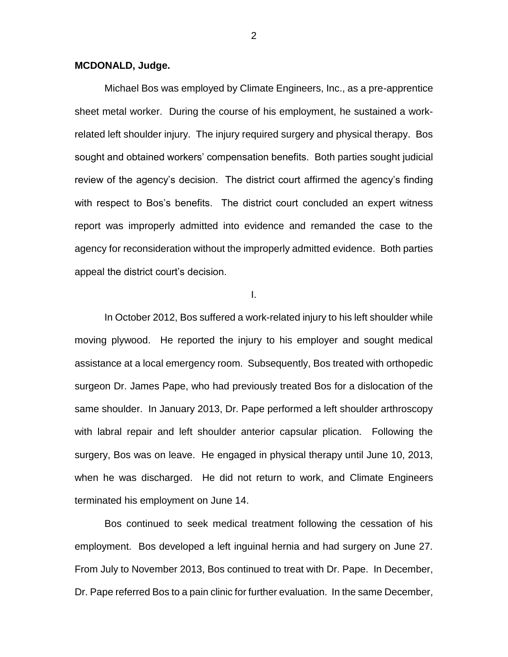#### **MCDONALD, Judge.**

Michael Bos was employed by Climate Engineers, Inc., as a pre-apprentice sheet metal worker. During the course of his employment, he sustained a workrelated left shoulder injury. The injury required surgery and physical therapy. Bos sought and obtained workers' compensation benefits. Both parties sought judicial review of the agency's decision. The district court affirmed the agency's finding with respect to Bos's benefits. The district court concluded an expert witness report was improperly admitted into evidence and remanded the case to the agency for reconsideration without the improperly admitted evidence. Both parties appeal the district court's decision.

I.

In October 2012, Bos suffered a work-related injury to his left shoulder while moving plywood. He reported the injury to his employer and sought medical assistance at a local emergency room. Subsequently, Bos treated with orthopedic surgeon Dr. James Pape, who had previously treated Bos for a dislocation of the same shoulder. In January 2013, Dr. Pape performed a left shoulder arthroscopy with labral repair and left shoulder anterior capsular plication. Following the surgery, Bos was on leave. He engaged in physical therapy until June 10, 2013, when he was discharged. He did not return to work, and Climate Engineers terminated his employment on June 14.

Bos continued to seek medical treatment following the cessation of his employment. Bos developed a left inguinal hernia and had surgery on June 27. From July to November 2013, Bos continued to treat with Dr. Pape. In December, Dr. Pape referred Bos to a pain clinic for further evaluation. In the same December,

2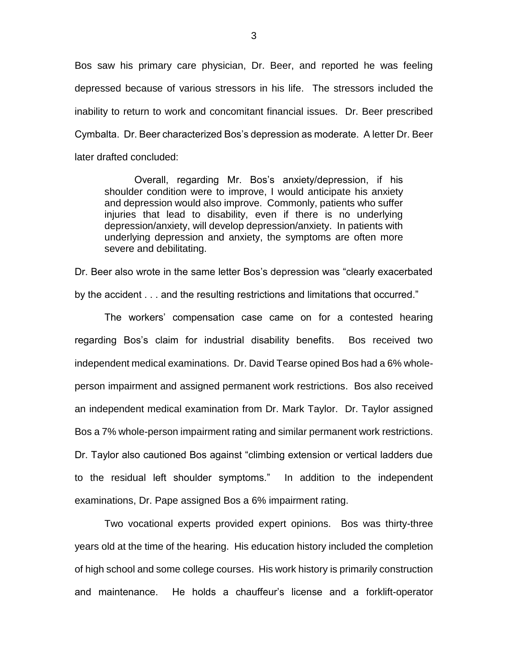Bos saw his primary care physician, Dr. Beer, and reported he was feeling depressed because of various stressors in his life. The stressors included the inability to return to work and concomitant financial issues. Dr. Beer prescribed Cymbalta. Dr. Beer characterized Bos's depression as moderate. A letter Dr. Beer later drafted concluded:

Overall, regarding Mr. Bos's anxiety/depression, if his shoulder condition were to improve, I would anticipate his anxiety and depression would also improve. Commonly, patients who suffer injuries that lead to disability, even if there is no underlying depression/anxiety, will develop depression/anxiety. In patients with underlying depression and anxiety, the symptoms are often more severe and debilitating.

Dr. Beer also wrote in the same letter Bos's depression was "clearly exacerbated by the accident . . . and the resulting restrictions and limitations that occurred."

The workers' compensation case came on for a contested hearing regarding Bos's claim for industrial disability benefits. Bos received two independent medical examinations. Dr. David Tearse opined Bos had a 6% wholeperson impairment and assigned permanent work restrictions. Bos also received an independent medical examination from Dr. Mark Taylor. Dr. Taylor assigned Bos a 7% whole-person impairment rating and similar permanent work restrictions. Dr. Taylor also cautioned Bos against "climbing extension or vertical ladders due to the residual left shoulder symptoms." In addition to the independent examinations, Dr. Pape assigned Bos a 6% impairment rating.

Two vocational experts provided expert opinions. Bos was thirty-three years old at the time of the hearing. His education history included the completion of high school and some college courses. His work history is primarily construction and maintenance. He holds a chauffeur's license and a forklift-operator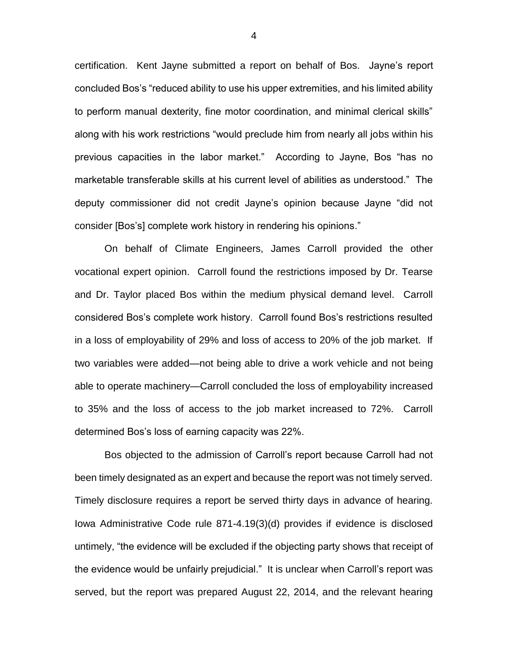certification. Kent Jayne submitted a report on behalf of Bos. Jayne's report concluded Bos's "reduced ability to use his upper extremities, and his limited ability to perform manual dexterity, fine motor coordination, and minimal clerical skills" along with his work restrictions "would preclude him from nearly all jobs within his previous capacities in the labor market." According to Jayne, Bos "has no marketable transferable skills at his current level of abilities as understood." The deputy commissioner did not credit Jayne's opinion because Jayne "did not consider [Bos's] complete work history in rendering his opinions."

On behalf of Climate Engineers, James Carroll provided the other vocational expert opinion. Carroll found the restrictions imposed by Dr. Tearse and Dr. Taylor placed Bos within the medium physical demand level. Carroll considered Bos's complete work history. Carroll found Bos's restrictions resulted in a loss of employability of 29% and loss of access to 20% of the job market. If two variables were added—not being able to drive a work vehicle and not being able to operate machinery—Carroll concluded the loss of employability increased to 35% and the loss of access to the job market increased to 72%. Carroll determined Bos's loss of earning capacity was 22%.

Bos objected to the admission of Carroll's report because Carroll had not been timely designated as an expert and because the report was not timely served. Timely disclosure requires a report be served thirty days in advance of hearing. Iowa Administrative Code rule 871-4.19(3)(d) provides if evidence is disclosed untimely, "the evidence will be excluded if the objecting party shows that receipt of the evidence would be unfairly prejudicial." It is unclear when Carroll's report was served, but the report was prepared August 22, 2014, and the relevant hearing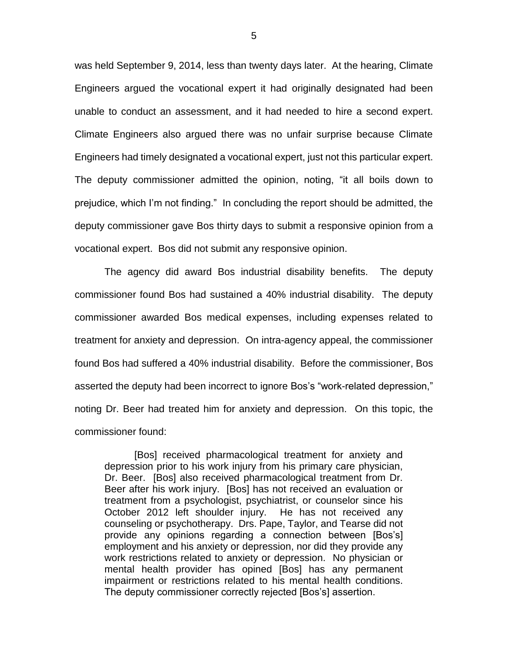was held September 9, 2014, less than twenty days later. At the hearing, Climate Engineers argued the vocational expert it had originally designated had been unable to conduct an assessment, and it had needed to hire a second expert. Climate Engineers also argued there was no unfair surprise because Climate Engineers had timely designated a vocational expert, just not this particular expert. The deputy commissioner admitted the opinion, noting, "it all boils down to prejudice, which I'm not finding." In concluding the report should be admitted, the deputy commissioner gave Bos thirty days to submit a responsive opinion from a vocational expert. Bos did not submit any responsive opinion.

The agency did award Bos industrial disability benefits. The deputy commissioner found Bos had sustained a 40% industrial disability. The deputy commissioner awarded Bos medical expenses, including expenses related to treatment for anxiety and depression. On intra-agency appeal, the commissioner found Bos had suffered a 40% industrial disability. Before the commissioner, Bos asserted the deputy had been incorrect to ignore Bos's "work-related depression," noting Dr. Beer had treated him for anxiety and depression. On this topic, the commissioner found:

[Bos] received pharmacological treatment for anxiety and depression prior to his work injury from his primary care physician, Dr. Beer. [Bos] also received pharmacological treatment from Dr. Beer after his work injury. [Bos] has not received an evaluation or treatment from a psychologist, psychiatrist, or counselor since his October 2012 left shoulder injury. He has not received any counseling or psychotherapy. Drs. Pape, Taylor, and Tearse did not provide any opinions regarding a connection between [Bos's] employment and his anxiety or depression, nor did they provide any work restrictions related to anxiety or depression. No physician or mental health provider has opined [Bos] has any permanent impairment or restrictions related to his mental health conditions. The deputy commissioner correctly rejected [Bos's] assertion.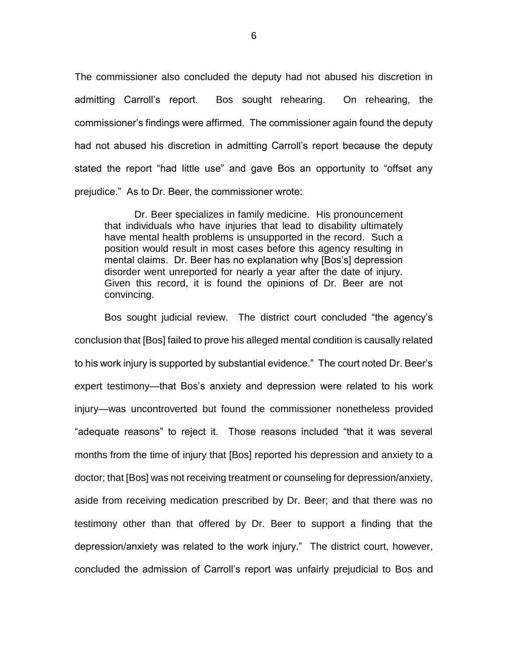The commissioner also concluded the deputy had not abused his discretion in admitting Carroll's report. Bos sought rehearing. On rehearing, the commissioner's findings were affirmed. The commissioner again found the deputy had not abused his discretion in admitting Carroll's report because the deputy stated the report "had little use" and gave Bos an opportunity to "offset any prejudice." As to Dr. Beer, the commissioner wrote:

Dr. Beer specializes in family medicine. His pronouncement that individuals who have injuries that lead to disability ultimately have mental health problems is unsupported in the record. Such a position would result in most cases before this agency resulting in mental claims. Dr. Beer has no explanation why [Bos's] depression disorder went unreported for nearly a year after the date of injury. Given this record, it is found the opinions of Dr. Beer are not convincing.

Bos sought judicial review. The district court concluded "the agency's conclusion that [Bos] failed to prove his alleged mental condition is causally related to his work injury is supported by substantial evidence." The court noted Dr. Beer's expert testimony—that Bos's anxiety and depression were related to his work injury—was uncontroverted but found the commissioner nonetheless provided "adequate reasons" to reject it. Those reasons included "that it was several months from the time of injury that [Bos] reported his depression and anxiety to a doctor; that [Bos] was not receiving treatment or counseling for depression/anxiety, aside from receiving medication prescribed by Dr. Beer; and that there was no testimony other than that offered by Dr. Beer to support a finding that the depression/anxiety was related to the work injury." The district court, however, concluded the admission of Carroll's report was unfairly prejudicial to Bos and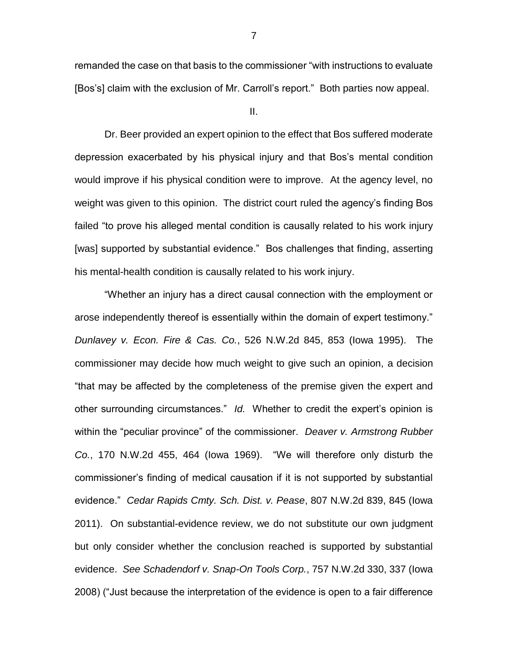remanded the case on that basis to the commissioner "with instructions to evaluate [Bos's] claim with the exclusion of Mr. Carroll's report." Both parties now appeal.

II.

Dr. Beer provided an expert opinion to the effect that Bos suffered moderate depression exacerbated by his physical injury and that Bos's mental condition would improve if his physical condition were to improve. At the agency level, no weight was given to this opinion. The district court ruled the agency's finding Bos failed "to prove his alleged mental condition is causally related to his work injury [was] supported by substantial evidence." Bos challenges that finding, asserting his mental-health condition is causally related to his work injury.

"Whether an injury has a direct causal connection with the employment or arose independently thereof is essentially within the domain of expert testimony." *Dunlavey v. Econ. Fire & Cas. Co.*, 526 N.W.2d 845, 853 (Iowa 1995). The commissioner may decide how much weight to give such an opinion, a decision "that may be affected by the completeness of the premise given the expert and other surrounding circumstances." *Id.* Whether to credit the expert's opinion is within the "peculiar province" of the commissioner. *Deaver v. Armstrong Rubber Co.*, 170 N.W.2d 455, 464 (Iowa 1969). "We will therefore only disturb the commissioner's finding of medical causation if it is not supported by substantial evidence." *Cedar Rapids Cmty. Sch. Dist. v. Pease*, 807 N.W.2d 839, 845 (Iowa 2011). On substantial-evidence review, we do not substitute our own judgment but only consider whether the conclusion reached is supported by substantial evidence. *See Schadendorf v. Snap-On Tools Corp.*, 757 N.W.2d 330, 337 (Iowa 2008) ("Just because the interpretation of the evidence is open to a fair difference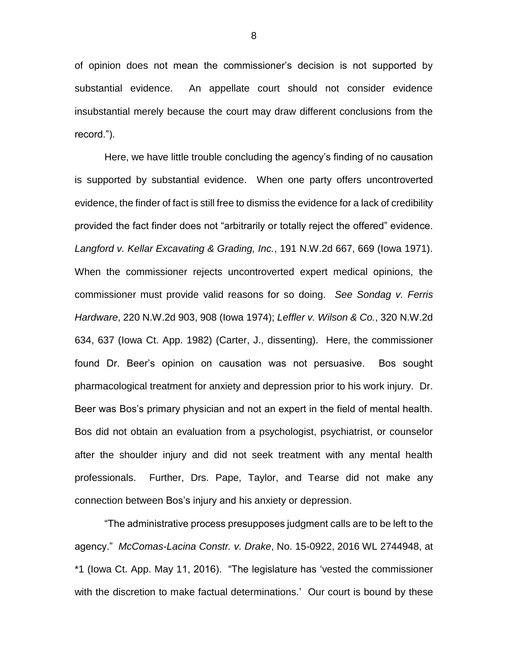of opinion does not mean the commissioner's decision is not supported by substantial evidence. An appellate court should not consider evidence insubstantial merely because the court may draw different conclusions from the record.").

Here, we have little trouble concluding the agency's finding of no causation is supported by substantial evidence. When one party offers uncontroverted evidence, the finder of fact is still free to dismiss the evidence for a lack of credibility provided the fact finder does not "arbitrarily or totally reject the offered" evidence. *Langford v. Kellar Excavating & Grading, Inc.*, 191 N.W.2d 667, 669 (Iowa 1971). When the commissioner rejects uncontroverted expert medical opinions, the commissioner must provide valid reasons for so doing. *See Sondag v. Ferris Hardware*, 220 N.W.2d 903, 908 (Iowa 1974); *Leffler v. Wilson & Co.*, 320 N.W.2d 634, 637 (Iowa Ct. App. 1982) (Carter, J., dissenting). Here, the commissioner found Dr. Beer's opinion on causation was not persuasive. Bos sought pharmacological treatment for anxiety and depression prior to his work injury. Dr. Beer was Bos's primary physician and not an expert in the field of mental health. Bos did not obtain an evaluation from a psychologist, psychiatrist, or counselor after the shoulder injury and did not seek treatment with any mental health professionals. Further, Drs. Pape, Taylor, and Tearse did not make any connection between Bos's injury and his anxiety or depression.

"The administrative process presupposes judgment calls are to be left to the agency." *McComas-Lacina Constr. v. Drake*, No. 15-0922, 2016 WL 2744948, at \*1 (Iowa Ct. App. May 11, 2016). "The legislature has 'vested the commissioner with the discretion to make factual determinations.' Our court is bound by these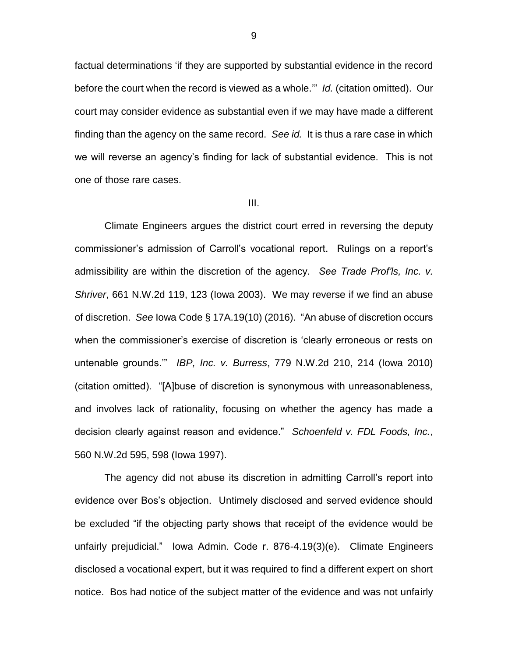factual determinations 'if they are supported by substantial evidence in the record before the court when the record is viewed as a whole.'" *Id.* (citation omitted). Our court may consider evidence as substantial even if we may have made a different finding than the agency on the same record. *See id.* It is thus a rare case in which we will reverse an agency's finding for lack of substantial evidence. This is not one of those rare cases.

#### III.

Climate Engineers argues the district court erred in reversing the deputy commissioner's admission of Carroll's vocational report. Rulings on a report's admissibility are within the discretion of the agency. *See Trade Prof'ls, Inc. v. Shriver*, 661 N.W.2d 119, 123 (Iowa 2003). We may reverse if we find an abuse of discretion. *See* Iowa Code § 17A.19(10) (2016). "An abuse of discretion occurs when the commissioner's exercise of discretion is 'clearly erroneous or rests on untenable grounds.'" *IBP, Inc. v. Burress*, 779 N.W.2d 210, 214 (Iowa 2010) (citation omitted). "[A]buse of discretion is synonymous with unreasonableness, and involves lack of rationality, focusing on whether the agency has made a decision clearly against reason and evidence." *Schoenfeld v. FDL Foods, Inc.*, 560 N.W.2d 595, 598 (Iowa 1997).

The agency did not abuse its discretion in admitting Carroll's report into evidence over Bos's objection. Untimely disclosed and served evidence should be excluded "if the objecting party shows that receipt of the evidence would be unfairly prejudicial." Iowa Admin. Code r. 876-4.19(3)(e). Climate Engineers disclosed a vocational expert, but it was required to find a different expert on short notice. Bos had notice of the subject matter of the evidence and was not unfairly